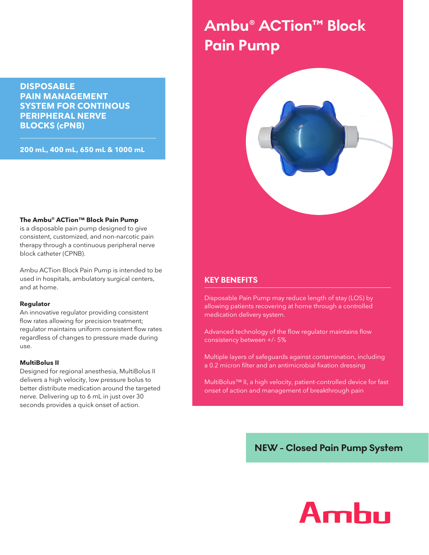**DISPOSABLE PAIN MANAGEMENT SYSTEM FOR CONTINOUS PERIPHERAL NERVE BLOCKS (cPNB)**

**200 mL, 400 mL, 650 mL & 1000 mL**

# **Ambu® ACTion™ Block Pain Pump**



#### **The Ambu® ACTion™ Block Pain Pump**

is a disposable pain pump designed to give consistent, customized, and non-narcotic pain therapy through a continuous peripheral nerve block catheter (CPNB).

Ambu ACTion Block Pain Pump is intended to be used in hospitals, ambulatory surgical centers, and at home.

#### **Regulator**

An innovative regulator providing consistent flow rates allowing for precision treatment; regulator maintains uniform consistent flow rates regardless of changes to pressure made during use.

#### **MultiBolus II**

Designed for regional anesthesia, MultiBolus II delivers a high velocity, low pressure bolus to better distribute medication around the targeted nerve. Delivering up to 6 mL in just over 30 seconds provides a quick onset of action.

#### **KEY BENEFITS**

Disposable Pain Pump may reduce length of stay (LOS) by allowing patients recovering at home through a controlled medication delivery system.

Advanced technology of the flow regulator maintains flow consistency between +/- 5%

Multiple layers of safeguards against contamination, including a 0.2 micron filter and an antimicrobial fixation dressing

MultiBolus™ II, a high velocity, patient-controlled device for fast onset of action and management of breakthrough pain

**NEW - Closed Pain Pump System**

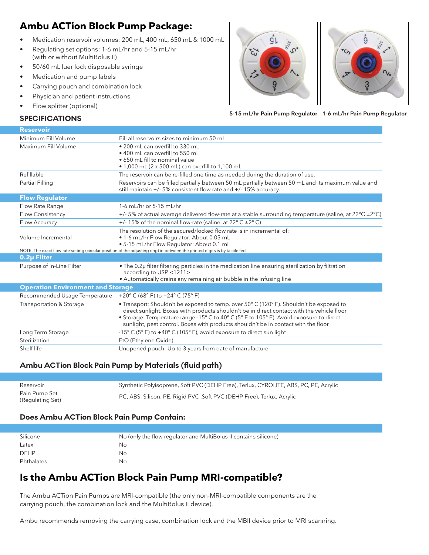## **Ambu ACTion Block Pump Package:**

- Medication reservoir volumes: 200 mL, 400 mL, 650 mL & 1000 mL
- Regulating set options: 1-6 mL/hr and 5-15 mL/hr (with or without MultiBolus II)
- 50/60 mL luer lock disposable syringe
- Medication and pump labels
- Carrying pouch and combination lock
- Physician and patient instructions
- Flow splitter (optional)





**SPECIFICATIONS 1-6 mL/hr Pain Pump Regulator 5-15 mL/hr Pain Pump Regulator**

| <b>Reservoir</b>                         |                                                                                                                                                                                                                                                                                                                                                                        |  |
|------------------------------------------|------------------------------------------------------------------------------------------------------------------------------------------------------------------------------------------------------------------------------------------------------------------------------------------------------------------------------------------------------------------------|--|
| Minimum Fill Volume                      | Fill all reservoirs sizes to minimum 50 mL                                                                                                                                                                                                                                                                                                                             |  |
| Maximum Fill Volume                      | • 200 mL can overfill to 330 mL<br>• 400 mL can overfill to 550 mL<br>• 650 mL fill to nominal value<br>• 1,000 mL (2 x 500 mL) can overfill to 1,100 mL                                                                                                                                                                                                               |  |
| Refillable                               | The reservoir can be re-filled one time as needed during the duration of use.                                                                                                                                                                                                                                                                                          |  |
| Partial Filling                          | Reservoirs can be filled partially between 50 mL partially between 50 mL and its maximum value and<br>still maintain +/- 5% consistent flow rate and +/- 15% accuracy.                                                                                                                                                                                                 |  |
| <b>Flow Regulator</b>                    |                                                                                                                                                                                                                                                                                                                                                                        |  |
| Flow Rate Range                          | 1-6 mL/hr or 5-15 mL/hr                                                                                                                                                                                                                                                                                                                                                |  |
| <b>Flow Consistency</b>                  | +/- 5% of actual average delivered flow-rate at a stable surrounding temperature (saline, at $22^{\circ}C \pm 2^{\circ}C$ )                                                                                                                                                                                                                                            |  |
| Flow Accuracy                            | +/- 15% of the nominal flow-rate (saline, at 22 $\degree$ C $\pm$ 2 $\degree$ C)                                                                                                                                                                                                                                                                                       |  |
| Volume Incremental                       | The resolution of the secured/locked flow rate is in incremental of:<br>. 1-6 mL/hr Flow Regulator: About 0.05 mL<br>. 5-15 mL/hr Flow Regulator: About 0.1 mL                                                                                                                                                                                                         |  |
|                                          | NOTE: The exact flow-rate setting (circular position of the adjusting ring) in between the printed digits is by tactile feel.                                                                                                                                                                                                                                          |  |
| 0.2µ Filter                              |                                                                                                                                                                                                                                                                                                                                                                        |  |
| Purpose of In-Line Filter                | • The 0.2µ filter filtering particles in the medication line ensuring sterilization by filtration<br>according to USP <1211><br>• Automatically drains any remaining air bubble in the infusing line                                                                                                                                                                   |  |
| <b>Operation Environment and Storage</b> |                                                                                                                                                                                                                                                                                                                                                                        |  |
| Recommended Usage Temperature            | +20 $^{\circ}$ C (68 $^{\circ}$ F) to +24 $^{\circ}$ C (75 $^{\circ}$ F)                                                                                                                                                                                                                                                                                               |  |
| Transportation & Storage                 | • Transport: Shouldn't be exposed to temp. over 50° C (120° F). Shouldn't be exposed to<br>direct sunlight. Boxes with products shouldn't be in direct contact with the vehicle floor<br>• Storage: Temperature range -15° C to 40° C (5° F to 105° F). Avoid exposure to direct<br>sunlight, pest control. Boxes with products shouldn't be in contact with the floor |  |
| Long Term Storage                        | -15 $\degree$ C (5 $\degree$ F) to +40 $\degree$ C (105 $\degree$ F), avoid exposure to direct sun light                                                                                                                                                                                                                                                               |  |
| Sterilization                            | EtO (Ethylene Oxide)                                                                                                                                                                                                                                                                                                                                                   |  |
| Shelf life                               | Unopened pouch; Up to 3 years from date of manufacture                                                                                                                                                                                                                                                                                                                 |  |

### **Ambu ACTion Block Pain Pump by Materials (fluid path)**

| Reservoir                         | Synthetic Polyisoprene, Soft PVC (DEHP Free), Terlux, CYROLITE, ABS, PC, PE, Acrylic |
|-----------------------------------|--------------------------------------------------------------------------------------|
| Pain Pump Set<br>(Regulating Set) | PC, ABS, Silicon, PE, Rigid PVC, Soft PVC (DEHP Free), Terlux, Acrylic               |

#### **Does Ambu ACTion Block Pain Pump Contain:**

| Silicone    | No (only the flow regulator and MultiBolus II contains silicone) |
|-------------|------------------------------------------------------------------|
| Latex       | Nο                                                               |
| <b>DEHP</b> | Nο                                                               |
| Phthalates  | No                                                               |

### **Is the Ambu ACTion Block Pain Pump MRI-compatible?**

The Ambu ACTion Pain Pumps are MRI-compatible (the only non-MRI-compatible components are the carrying pouch, the combination lock and the MultiBolus II device).

Ambu recommends removing the carrying case, combination lock and the MBII device prior to MRI scanning.